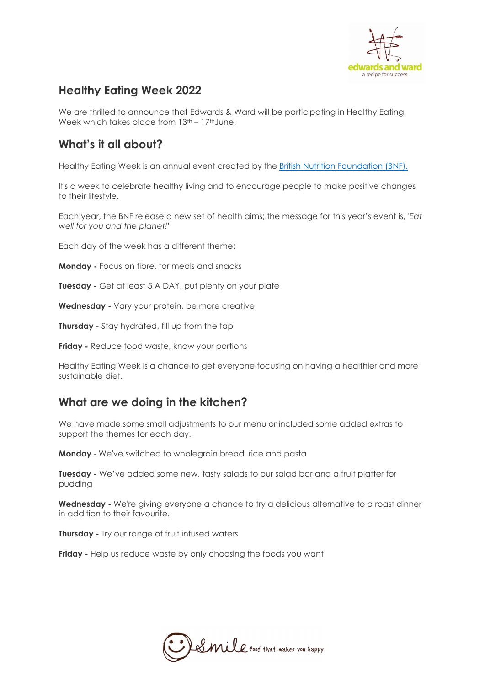

# **Healthy Eating Week 2022**

We are thrilled to announce that Edwards & Ward will be participating in Healthy Eating Week which takes place from  $13<sup>th</sup> - 17<sup>th</sup>$  June.

## **What's it all about?**

Healthy Eating Week is an annual event created by the British Nutrition Foundation (BNF).

It's a week to celebrate healthy living and to encourage people to make positive changes to their lifestyle.

Each year, the BNF release a new set of health aims; the message for this year's event is, *'Eat well for you and the planet!'*

Each day of the week has a different theme:

**Monday -** Focus on fibre, for meals and snacks

**Tuesday -** Get at least 5 A DAY, put plenty on your plate

**Wednesday -** Vary your protein, be more creative

**Thursday** - Stay hydrated, fill up from the tap

**Friday -** Reduce food waste, know your portions

Healthy Eating Week is a chance to get everyone focusing on having a healthier and more sustainable diet.

# **What are we doing in the kitchen?**

We have made some small adjustments to our menu or included some added extras to support the themes for each day.

**Monday** - We've switched to wholegrain bread, rice and pasta

**Tuesday -** We've added some new, tasty salads to our salad bar and a fruit platter for pudding

**Wednesday -** We're giving everyone a chance to try a delicious alternative to a roast dinner in addition to their favourite.

**Thursday -** Try our range of fruit infused waters

**Friday - Help us reduce waste by only choosing the foods you want** 

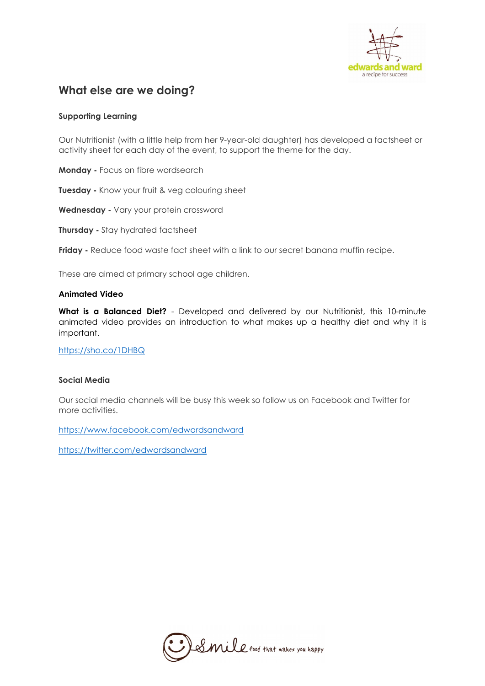

## **What else are we doing?**

### **Supporting Learning**

Our Nutritionist (with a little help from her 9-year-old daughter) has developed a factsheet or activity sheet for each day of the event, to support the theme for the day.

**Monday -** Focus on fibre wordsearch

**Tuesday -** Know your fruit & veg colouring sheet

**Wednesday -** Vary your protein crossword

**Thursday -** Stay hydrated factsheet

**Friday -** Reduce food waste fact sheet with a link to our secret banana muffin recipe.

These are aimed at primary school age children.

#### **Animated Video**

**What is a Balanced Diet?** - Developed and delivered by our Nutritionist, this 10-minute animated video provides an introduction to what makes up a healthy diet and why it is important.

<https://sho.co/1DHBQ>

#### **Social Media**

Our social media channels will be busy this week so follow us on Facebook and Twitter for more activities.

<https://www.facebook.com/edwardsandward>

<https://twitter.com/edwardsandward>